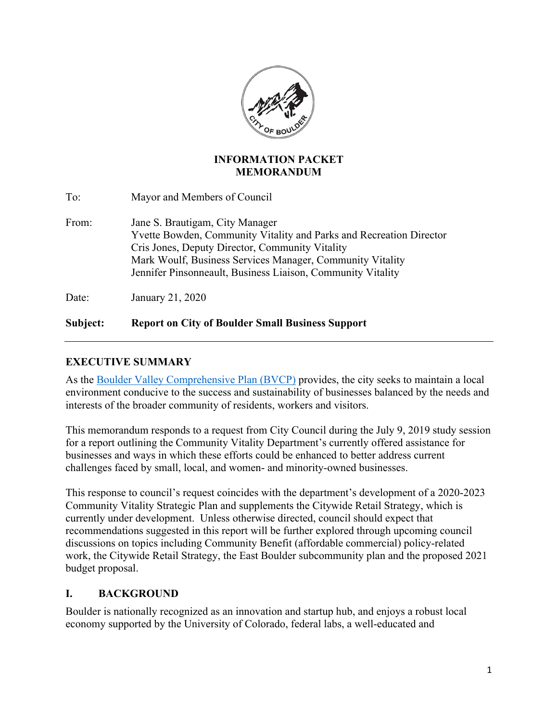

#### **INFORMATION PACKET MEMORANDUM**

| To:   | Mayor and Members of Council                                                                                                                                                                                                                                                          |
|-------|---------------------------------------------------------------------------------------------------------------------------------------------------------------------------------------------------------------------------------------------------------------------------------------|
| From: | Jane S. Brautigam, City Manager<br>Yvette Bowden, Community Vitality and Parks and Recreation Director<br>Cris Jones, Deputy Director, Community Vitality<br>Mark Woulf, Business Services Manager, Community Vitality<br>Jennifer Pinsonneault, Business Liaison, Community Vitality |
| Date: | January 21, 2020                                                                                                                                                                                                                                                                      |

# **Subject: Report on City of Boulder Small Business Support**

### **EXECUTIVE SUMMARY**

As the Boulder Valley Comprehensive Plan (BVCP) provides, the city seeks to maintain a local environment conducive to the success and sustainability of businesses balanced by the needs and interests of the broader community of residents, workers and visitors.

This memorandum responds to a request from City Council during the July 9, 2019 study session for a report outlining the Community Vitality Department's currently offered assistance for businesses and ways in which these efforts could be enhanced to better address current challenges faced by small, local, and women- and minority-owned businesses.

This response to council's request coincides with the department's development of a 2020-2023 Community Vitality Strategic Plan and supplements the Citywide Retail Strategy, which is currently under development. Unless otherwise directed, council should expect that recommendations suggested in this report will be further explored through upcoming council discussions on topics including Community Benefit (affordable commercial) policy-related work, the Citywide Retail Strategy, the East Boulder subcommunity plan and the proposed 2021 budget proposal.

#### **I. BACKGROUND**

Boulder is nationally recognized as an innovation and startup hub, and enjoys a robust local economy supported by the University of Colorado, federal labs, a well-educated and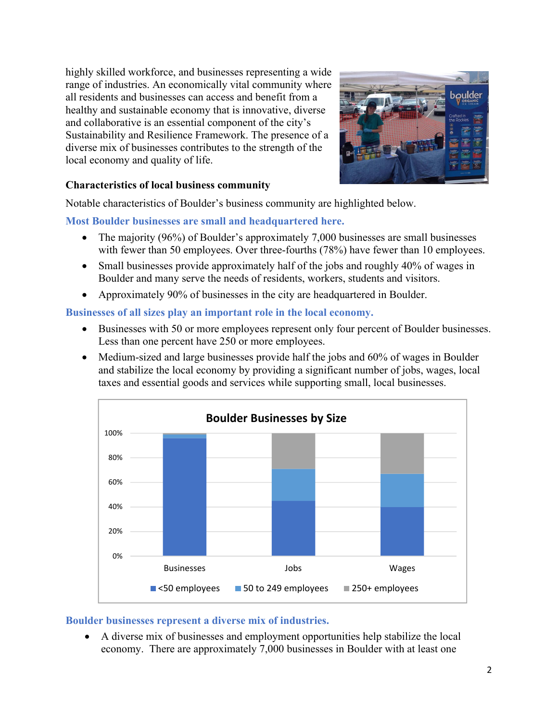highly skilled workforce, and businesses representing a wide range of industries. An economically vital community where all residents and businesses can access and benefit from a healthy and sustainable economy that is innovative, diverse and collaborative is an essential component of the city's Sustainability and Resilience Framework. The presence of a diverse mix of businesses contributes to the strength of the local economy and quality of life.



#### **Characteristics of local business community**

Notable characteristics of Boulder's business community are highlighted below.

#### **Most Boulder businesses are small and headquartered here.**

- The majority (96%) of Boulder's approximately 7,000 businesses are small businesses with fewer than 50 employees. Over three-fourths (78%) have fewer than 10 employees.
- Small businesses provide approximately half of the jobs and roughly 40% of wages in Boulder and many serve the needs of residents, workers, students and visitors.
- Approximately 90% of businesses in the city are headquartered in Boulder.

#### **Businesses of all sizes play an important role in the local economy.**

- Businesses with 50 or more employees represent only four percent of Boulder businesses. Less than one percent have 250 or more employees.
- Medium-sized and large businesses provide half the jobs and 60% of wages in Boulder and stabilize the local economy by providing a significant number of jobs, wages, local taxes and essential goods and services while supporting small, local businesses.



#### **Boulder businesses represent a diverse mix of industries.**

 A diverse mix of businesses and employment opportunities help stabilize the local economy. There are approximately 7,000 businesses in Boulder with at least one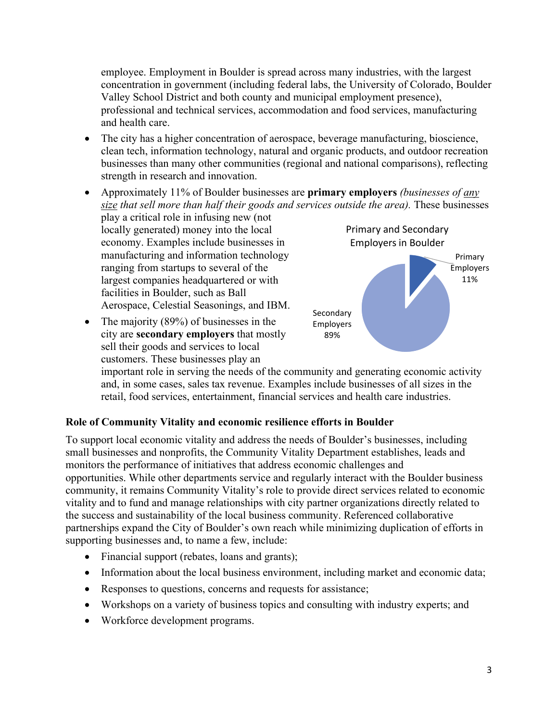employee. Employment in Boulder is spread across many industries, with the largest concentration in government (including federal labs, the University of Colorado, Boulder Valley School District and both county and municipal employment presence), professional and technical services, accommodation and food services, manufacturing and health care.

- The city has a higher concentration of aerospace, beverage manufacturing, bioscience, clean tech, information technology, natural and organic products, and outdoor recreation businesses than many other communities (regional and national comparisons), reflecting strength in research and innovation.
- Approximately 11% of Boulder businesses are **primary employers** *(businesses of any size that sell more than half their goods and services outside the area).* These businesses
- play a critical role in infusing new (not locally generated) money into the local economy. Examples include businesses in manufacturing and information technology ranging from startups to several of the largest companies headquartered or with facilities in Boulder, such as Ball Aerospace, Celestial Seasonings, and IBM.
- The majority (89%) of businesses in the city are **secondary employers** that mostly sell their goods and services to local customers. These businesses play an



important role in serving the needs of the community and generating economic activity and, in some cases, sales tax revenue. Examples include businesses of all sizes in the retail, food services, entertainment, financial services and health care industries.

#### **Role of Community Vitality and economic resilience efforts in Boulder**

To support local economic vitality and address the needs of Boulder's businesses, including small businesses and nonprofits, the Community Vitality Department establishes, leads and monitors the performance of initiatives that address economic challenges and opportunities. While other departments service and regularly interact with the Boulder business community, it remains Community Vitality's role to provide direct services related to economic vitality and to fund and manage relationships with city partner organizations directly related to the success and sustainability of the local business community. Referenced collaborative partnerships expand the City of Boulder's own reach while minimizing duplication of efforts in supporting businesses and, to name a few, include:

- Financial support (rebates, loans and grants);
- Information about the local business environment, including market and economic data;
- Responses to questions, concerns and requests for assistance;
- Workshops on a variety of business topics and consulting with industry experts; and
- Workforce development programs.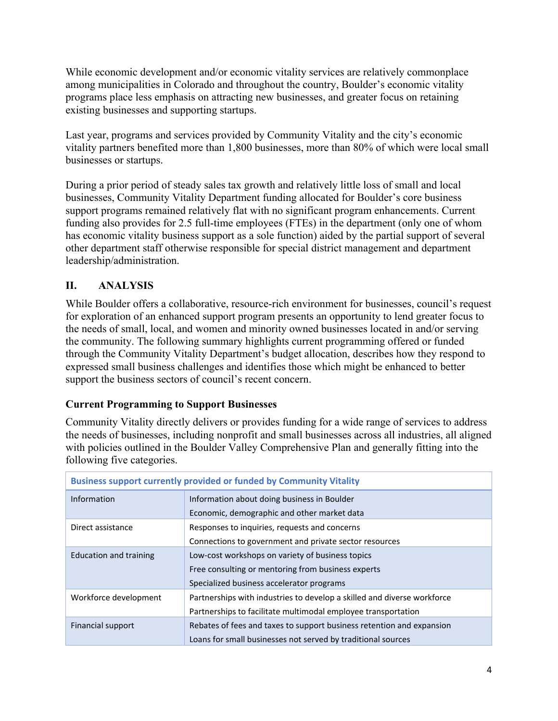While economic development and/or economic vitality services are relatively commonplace among municipalities in Colorado and throughout the country, Boulder's economic vitality programs place less emphasis on attracting new businesses, and greater focus on retaining existing businesses and supporting startups.

Last year, programs and services provided by Community Vitality and the city's economic vitality partners benefited more than 1,800 businesses, more than 80% of which were local small businesses or startups.

During a prior period of steady sales tax growth and relatively little loss of small and local businesses, Community Vitality Department funding allocated for Boulder's core business support programs remained relatively flat with no significant program enhancements. Current funding also provides for 2.5 full-time employees (FTEs) in the department (only one of whom has economic vitality business support as a sole function) aided by the partial support of several other department staff otherwise responsible for special district management and department leadership/administration.

# **II. ANALYSIS**

While Boulder offers a collaborative, resource-rich environment for businesses, council's request for exploration of an enhanced support program presents an opportunity to lend greater focus to the needs of small, local, and women and minority owned businesses located in and/or serving the community. The following summary highlights current programming offered or funded through the Community Vitality Department's budget allocation, describes how they respond to expressed small business challenges and identifies those which might be enhanced to better support the business sectors of council's recent concern.

# **Current Programming to Support Businesses**

Community Vitality directly delivers or provides funding for a wide range of services to address the needs of businesses, including nonprofit and small businesses across all industries, all aligned with policies outlined in the Boulder Valley Comprehensive Plan and generally fitting into the following five categories.

| <b>Business support currently provided or funded by Community Vitality</b> |                                                                         |  |  |  |  |
|----------------------------------------------------------------------------|-------------------------------------------------------------------------|--|--|--|--|
| <b>Information</b>                                                         | Information about doing business in Boulder                             |  |  |  |  |
|                                                                            | Economic, demographic and other market data                             |  |  |  |  |
| Direct assistance                                                          | Responses to inquiries, requests and concerns                           |  |  |  |  |
| Connections to government and private sector resources                     |                                                                         |  |  |  |  |
| Education and training                                                     | Low-cost workshops on variety of business topics                        |  |  |  |  |
|                                                                            | Free consulting or mentoring from business experts                      |  |  |  |  |
|                                                                            | Specialized business accelerator programs                               |  |  |  |  |
| Workforce development                                                      | Partnerships with industries to develop a skilled and diverse workforce |  |  |  |  |
|                                                                            | Partnerships to facilitate multimodal employee transportation           |  |  |  |  |
| <b>Financial support</b>                                                   | Rebates of fees and taxes to support business retention and expansion   |  |  |  |  |
|                                                                            | Loans for small businesses not served by traditional sources            |  |  |  |  |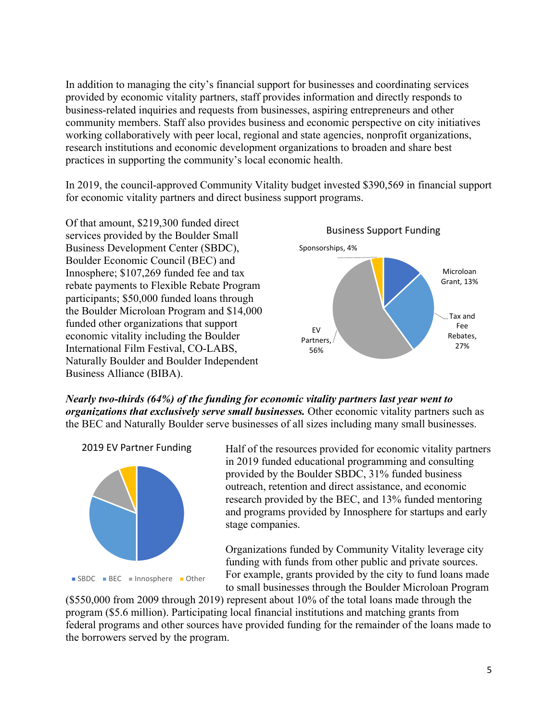In addition to managing the city's financial support for businesses and coordinating services provided by economic vitality partners, staff provides information and directly responds to business-related inquiries and requests from businesses, aspiring entrepreneurs and other community members. Staff also provides business and economic perspective on city initiatives working collaboratively with peer local, regional and state agencies, nonprofit organizations, research institutions and economic development organizations to broaden and share best practices in supporting the community's local economic health.

In 2019, the council-approved Community Vitality budget invested \$390,569 in financial support for economic vitality partners and direct business support programs.

Of that amount, \$219,300 funded direct services provided by the Boulder Small Business Development Center (SBDC), Boulder Economic Council (BEC) and Innosphere; \$107,269 funded fee and tax rebate payments to Flexible Rebate Program participants; \$50,000 funded loans through the Boulder Microloan Program and \$14,000 funded other organizations that support economic vitality including the Boulder International Film Festival, CO-LABS, Naturally Boulder and Boulder Independent Business Alliance (BIBA).



*Nearly two-thirds (64%) of the funding for economic vitality partners last year went to organizations that exclusively serve small businesses.* Other economic vitality partners such as the BEC and Naturally Boulder serve businesses of all sizes including many small businesses.

2019 EV Partner Funding



Half of the resources provided for economic vitality partners in 2019 funded educational programming and consulting provided by the Boulder SBDC, 31% funded business outreach, retention and direct assistance, and economic research provided by the BEC, and 13% funded mentoring and programs provided by Innosphere for startups and early stage companies.

Organizations funded by Community Vitality leverage city funding with funds from other public and private sources. For example, grants provided by the city to fund loans made to small businesses through the Boulder Microloan Program

(\$550,000 from 2009 through 2019) represent about 10% of the total loans made through the program (\$5.6 million). Participating local financial institutions and matching grants from federal programs and other sources have provided funding for the remainder of the loans made to the borrowers served by the program.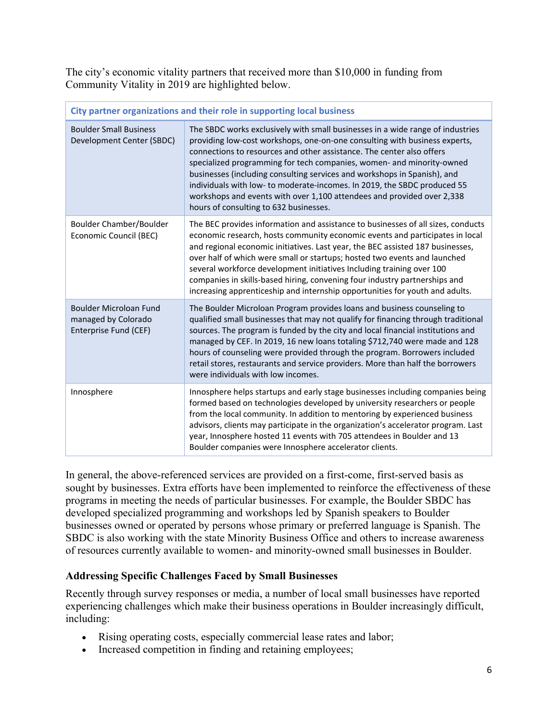The city's economic vitality partners that received more than \$10,000 in funding from Community Vitality in 2019 are highlighted below.

| City partner organizations and their role in supporting local business        |                                                                                                                                                                                                                                                                                                                                                                                                                                                                                                                                                                                            |  |  |  |
|-------------------------------------------------------------------------------|--------------------------------------------------------------------------------------------------------------------------------------------------------------------------------------------------------------------------------------------------------------------------------------------------------------------------------------------------------------------------------------------------------------------------------------------------------------------------------------------------------------------------------------------------------------------------------------------|--|--|--|
| <b>Boulder Small Business</b><br>Development Center (SBDC)                    | The SBDC works exclusively with small businesses in a wide range of industries<br>providing low-cost workshops, one-on-one consulting with business experts,<br>connections to resources and other assistance. The center also offers<br>specialized programming for tech companies, women- and minority-owned<br>businesses (including consulting services and workshops in Spanish), and<br>individuals with low- to moderate-incomes. In 2019, the SBDC produced 55<br>workshops and events with over 1,100 attendees and provided over 2,338<br>hours of consulting to 632 businesses. |  |  |  |
| Boulder Chamber/Boulder<br>Economic Council (BEC)                             | The BEC provides information and assistance to businesses of all sizes, conducts<br>economic research, hosts community economic events and participates in local<br>and regional economic initiatives. Last year, the BEC assisted 187 businesses,<br>over half of which were small or startups; hosted two events and launched<br>several workforce development initiatives Including training over 100<br>companies in skills-based hiring, convening four industry partnerships and<br>increasing apprenticeship and internship opportunities for youth and adults.                     |  |  |  |
| <b>Boulder Microloan Fund</b><br>managed by Colorado<br>Enterprise Fund (CEF) | The Boulder Microloan Program provides loans and business counseling to<br>qualified small businesses that may not qualify for financing through traditional<br>sources. The program is funded by the city and local financial institutions and<br>managed by CEF. In 2019, 16 new loans totaling \$712,740 were made and 128<br>hours of counseling were provided through the program. Borrowers included<br>retail stores, restaurants and service providers. More than half the borrowers<br>were individuals with low incomes.                                                         |  |  |  |
| Innosphere                                                                    | Innosphere helps startups and early stage businesses including companies being<br>formed based on technologies developed by university researchers or people<br>from the local community. In addition to mentoring by experienced business<br>advisors, clients may participate in the organization's accelerator program. Last<br>year, Innosphere hosted 11 events with 705 attendees in Boulder and 13<br>Boulder companies were Innosphere accelerator clients.                                                                                                                        |  |  |  |

In general, the above-referenced services are provided on a first-come, first-served basis as sought by businesses. Extra efforts have been implemented to reinforce the effectiveness of these programs in meeting the needs of particular businesses. For example, the Boulder SBDC has developed specialized programming and workshops led by Spanish speakers to Boulder businesses owned or operated by persons whose primary or preferred language is Spanish. The SBDC is also working with the state Minority Business Office and others to increase awareness of resources currently available to women- and minority-owned small businesses in Boulder.

#### **Addressing Specific Challenges Faced by Small Businesses**

Recently through survey responses or media, a number of local small businesses have reported experiencing challenges which make their business operations in Boulder increasingly difficult, including:

- Rising operating costs, especially commercial lease rates and labor;
- Increased competition in finding and retaining employees;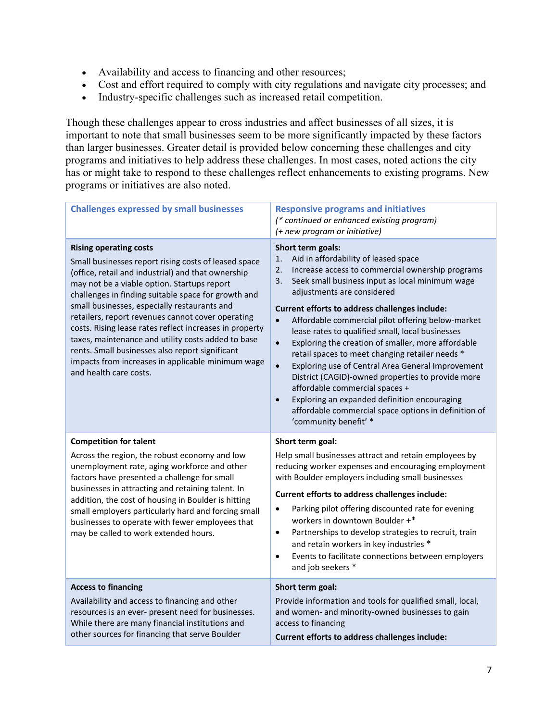- Availability and access to financing and other resources;
- Cost and effort required to comply with city regulations and navigate city processes; and
- Industry-specific challenges such as increased retail competition.

Though these challenges appear to cross industries and affect businesses of all sizes, it is important to note that small businesses seem to be more significantly impacted by these factors than larger businesses. Greater detail is provided below concerning these challenges and city programs and initiatives to help address these challenges. In most cases, noted actions the city has or might take to respond to these challenges reflect enhancements to existing programs. New programs or initiatives are also noted.

| <b>Challenges expressed by small businesses</b>                                                                                                                                                                                                                                                                                                                                                                                                                                                                                                                                                           | <b>Responsive programs and initiatives</b><br>(* continued or enhanced existing program)<br>(+ new program or initiative)                                                                                                                                                                                                                                                                                                                                                                                                                                                                                                                                                                                                                                                                                             |  |  |  |
|-----------------------------------------------------------------------------------------------------------------------------------------------------------------------------------------------------------------------------------------------------------------------------------------------------------------------------------------------------------------------------------------------------------------------------------------------------------------------------------------------------------------------------------------------------------------------------------------------------------|-----------------------------------------------------------------------------------------------------------------------------------------------------------------------------------------------------------------------------------------------------------------------------------------------------------------------------------------------------------------------------------------------------------------------------------------------------------------------------------------------------------------------------------------------------------------------------------------------------------------------------------------------------------------------------------------------------------------------------------------------------------------------------------------------------------------------|--|--|--|
| <b>Rising operating costs</b><br>Small businesses report rising costs of leased space<br>(office, retail and industrial) and that ownership<br>may not be a viable option. Startups report<br>challenges in finding suitable space for growth and<br>small businesses, especially restaurants and<br>retailers, report revenues cannot cover operating<br>costs. Rising lease rates reflect increases in property<br>taxes, maintenance and utility costs added to base<br>rents. Small businesses also report significant<br>impacts from increases in applicable minimum wage<br>and health care costs. | Short term goals:<br>Aid in affordability of leased space<br>1.<br>2.<br>Increase access to commercial ownership programs<br>Seek small business input as local minimum wage<br>3.<br>adjustments are considered<br>Current efforts to address challenges include:<br>Affordable commercial pilot offering below-market<br>$\bullet$<br>lease rates to qualified small, local businesses<br>Exploring the creation of smaller, more affordable<br>$\bullet$<br>retail spaces to meet changing retailer needs *<br>Exploring use of Central Area General Improvement<br>$\bullet$<br>District (CAGID)-owned properties to provide more<br>affordable commercial spaces +<br>Exploring an expanded definition encouraging<br>$\bullet$<br>affordable commercial space options in definition of<br>'community benefit' * |  |  |  |
| <b>Competition for talent</b><br>Across the region, the robust economy and low<br>unemployment rate, aging workforce and other<br>factors have presented a challenge for small<br>businesses in attracting and retaining talent. In<br>addition, the cost of housing in Boulder is hitting<br>small employers particularly hard and forcing small<br>businesses to operate with fewer employees that<br>may be called to work extended hours.                                                                                                                                                             | Short term goal:<br>Help small businesses attract and retain employees by<br>reducing worker expenses and encouraging employment<br>with Boulder employers including small businesses<br>Current efforts to address challenges include:<br>Parking pilot offering discounted rate for evening<br>$\bullet$<br>workers in downtown Boulder +*<br>Partnerships to develop strategies to recruit, train<br>$\bullet$<br>and retain workers in key industries *<br>Events to facilitate connections between employers<br>$\bullet$<br>and job seekers *                                                                                                                                                                                                                                                                   |  |  |  |
| <b>Access to financing</b><br>Availability and access to financing and other<br>resources is an ever- present need for businesses.<br>While there are many financial institutions and<br>other sources for financing that serve Boulder                                                                                                                                                                                                                                                                                                                                                                   | Short term goal:<br>Provide information and tools for qualified small, local,<br>and women- and minority-owned businesses to gain<br>access to financing<br>Current efforts to address challenges include:                                                                                                                                                                                                                                                                                                                                                                                                                                                                                                                                                                                                            |  |  |  |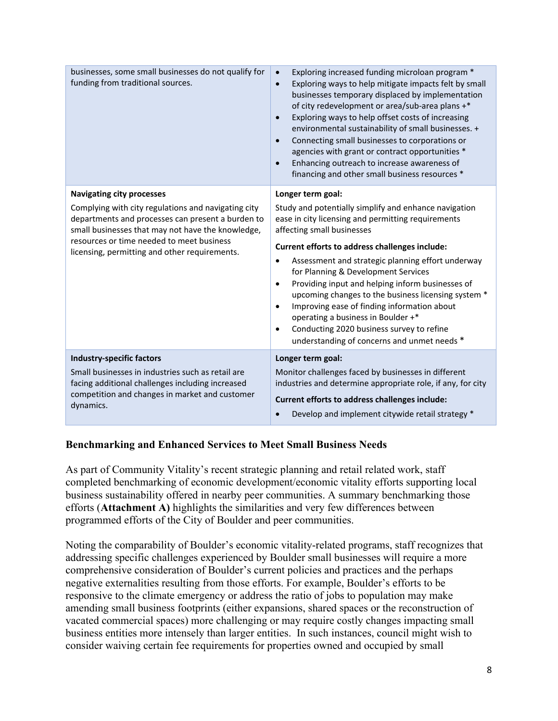| businesses, some small businesses do not qualify for<br>funding from traditional sources.                                                                                                                                                                                                       | Exploring increased funding microloan program *<br>$\bullet$<br>Exploring ways to help mitigate impacts felt by small<br>$\bullet$<br>businesses temporary displaced by implementation<br>of city redevelopment or area/sub-area plans +*<br>Exploring ways to help offset costs of increasing<br>$\bullet$<br>environmental sustainability of small businesses. +<br>Connecting small businesses to corporations or<br>$\bullet$<br>agencies with grant or contract opportunities *<br>Enhancing outreach to increase awareness of<br>$\bullet$<br>financing and other small business resources *                                                           |  |  |  |
|-------------------------------------------------------------------------------------------------------------------------------------------------------------------------------------------------------------------------------------------------------------------------------------------------|--------------------------------------------------------------------------------------------------------------------------------------------------------------------------------------------------------------------------------------------------------------------------------------------------------------------------------------------------------------------------------------------------------------------------------------------------------------------------------------------------------------------------------------------------------------------------------------------------------------------------------------------------------------|--|--|--|
| <b>Navigating city processes</b><br>Complying with city regulations and navigating city<br>departments and processes can present a burden to<br>small businesses that may not have the knowledge,<br>resources or time needed to meet business<br>licensing, permitting and other requirements. | Longer term goal:<br>Study and potentially simplify and enhance navigation<br>ease in city licensing and permitting requirements<br>affecting small businesses<br>Current efforts to address challenges include:<br>Assessment and strategic planning effort underway<br>$\bullet$<br>for Planning & Development Services<br>Providing input and helping inform businesses of<br>$\bullet$<br>upcoming changes to the business licensing system *<br>Improving ease of finding information about<br>$\bullet$<br>operating a business in Boulder +*<br>Conducting 2020 business survey to refine<br>$\bullet$<br>understanding of concerns and unmet needs * |  |  |  |
| <b>Industry-specific factors</b><br>Small businesses in industries such as retail are<br>facing additional challenges including increased<br>competition and changes in market and customer<br>dynamics.                                                                                        | Longer term goal:<br>Monitor challenges faced by businesses in different<br>industries and determine appropriate role, if any, for city<br>Current efforts to address challenges include:<br>Develop and implement citywide retail strategy *<br>$\bullet$                                                                                                                                                                                                                                                                                                                                                                                                   |  |  |  |

#### **Benchmarking and Enhanced Services to Meet Small Business Needs**

As part of Community Vitality's recent strategic planning and retail related work, staff completed benchmarking of economic development/economic vitality efforts supporting local business sustainability offered in nearby peer communities. A summary benchmarking those efforts (**Attachment A)** highlights the similarities and very few differences between programmed efforts of the City of Boulder and peer communities.

Noting the comparability of Boulder's economic vitality-related programs, staff recognizes that addressing specific challenges experienced by Boulder small businesses will require a more comprehensive consideration of Boulder's current policies and practices and the perhaps negative externalities resulting from those efforts. For example, Boulder's efforts to be responsive to the climate emergency or address the ratio of jobs to population may make amending small business footprints (either expansions, shared spaces or the reconstruction of vacated commercial spaces) more challenging or may require costly changes impacting small business entities more intensely than larger entities. In such instances, council might wish to consider waiving certain fee requirements for properties owned and occupied by small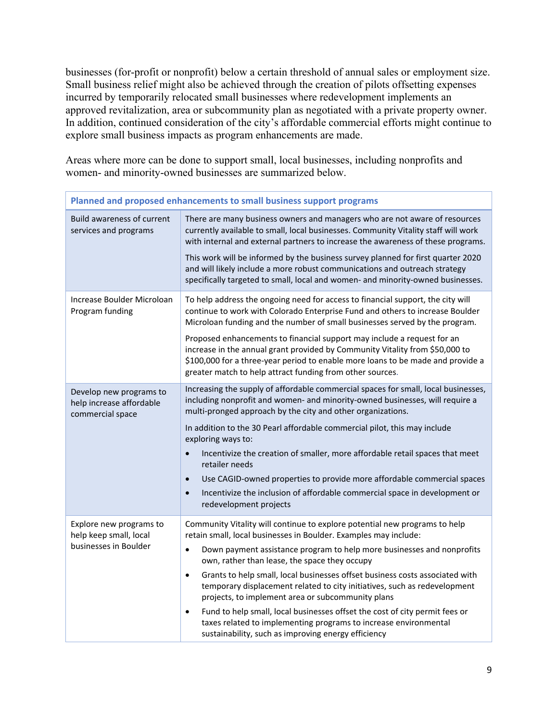businesses (for-profit or nonprofit) below a certain threshold of annual sales or employment size. Small business relief might also be achieved through the creation of pilots offsetting expenses incurred by temporarily relocated small businesses where redevelopment implements an approved revitalization, area or subcommunity plan as negotiated with a private property owner. In addition, continued consideration of the city's affordable commercial efforts might continue to explore small business impacts as program enhancements are made.

Areas where more can be done to support small, local businesses, including nonprofits and women- and minority-owned businesses are summarized below.

| Planned and proposed enhancements to small business support programs    |                                                                                                                                                                                                                                                                                                         |  |  |  |
|-------------------------------------------------------------------------|---------------------------------------------------------------------------------------------------------------------------------------------------------------------------------------------------------------------------------------------------------------------------------------------------------|--|--|--|
| <b>Build awareness of current</b><br>services and programs              | There are many business owners and managers who are not aware of resources<br>currently available to small, local businesses. Community Vitality staff will work<br>with internal and external partners to increase the awareness of these programs.                                                    |  |  |  |
|                                                                         | This work will be informed by the business survey planned for first quarter 2020<br>and will likely include a more robust communications and outreach strategy<br>specifically targeted to small, local and women- and minority-owned businesses.                                                       |  |  |  |
| Increase Boulder Microloan<br>Program funding                           | To help address the ongoing need for access to financial support, the city will<br>continue to work with Colorado Enterprise Fund and others to increase Boulder<br>Microloan funding and the number of small businesses served by the program.                                                         |  |  |  |
|                                                                         | Proposed enhancements to financial support may include a request for an<br>increase in the annual grant provided by Community Vitality from \$50,000 to<br>\$100,000 for a three-year period to enable more loans to be made and provide a<br>greater match to help attract funding from other sources. |  |  |  |
| Develop new programs to<br>help increase affordable<br>commercial space | Increasing the supply of affordable commercial spaces for small, local businesses,<br>including nonprofit and women- and minority-owned businesses, will require a<br>multi-pronged approach by the city and other organizations.                                                                       |  |  |  |
|                                                                         | In addition to the 30 Pearl affordable commercial pilot, this may include<br>exploring ways to:                                                                                                                                                                                                         |  |  |  |
|                                                                         | Incentivize the creation of smaller, more affordable retail spaces that meet<br>$\bullet$<br>retailer needs                                                                                                                                                                                             |  |  |  |
|                                                                         | Use CAGID-owned properties to provide more affordable commercial spaces<br>$\bullet$                                                                                                                                                                                                                    |  |  |  |
|                                                                         | Incentivize the inclusion of affordable commercial space in development or<br>$\bullet$<br>redevelopment projects                                                                                                                                                                                       |  |  |  |
| Explore new programs to<br>help keep small, local                       | Community Vitality will continue to explore potential new programs to help<br>retain small, local businesses in Boulder. Examples may include:                                                                                                                                                          |  |  |  |
| businesses in Boulder                                                   | Down payment assistance program to help more businesses and nonprofits<br>$\bullet$<br>own, rather than lease, the space they occupy                                                                                                                                                                    |  |  |  |
|                                                                         | Grants to help small, local businesses offset business costs associated with<br>$\bullet$<br>temporary displacement related to city initiatives, such as redevelopment<br>projects, to implement area or subcommunity plans                                                                             |  |  |  |
|                                                                         | Fund to help small, local businesses offset the cost of city permit fees or<br>$\bullet$<br>taxes related to implementing programs to increase environmental<br>sustainability, such as improving energy efficiency                                                                                     |  |  |  |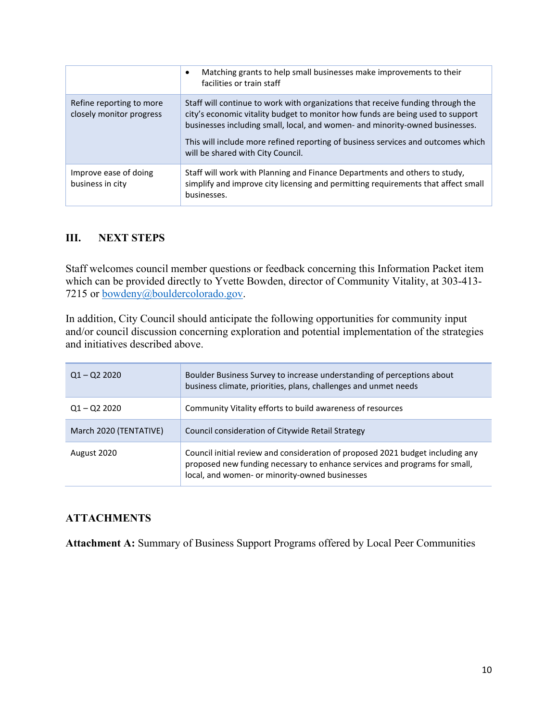|                                                      | Matching grants to help small businesses make improvements to their<br>$\bullet$<br>facilities or train staff                                                                                                                                                                                                                                                              |
|------------------------------------------------------|----------------------------------------------------------------------------------------------------------------------------------------------------------------------------------------------------------------------------------------------------------------------------------------------------------------------------------------------------------------------------|
| Refine reporting to more<br>closely monitor progress | Staff will continue to work with organizations that receive funding through the<br>city's economic vitality budget to monitor how funds are being used to support<br>businesses including small, local, and women- and minority-owned businesses.<br>This will include more refined reporting of business services and outcomes which<br>will be shared with City Council. |
| Improve ease of doing<br>business in city            | Staff will work with Planning and Finance Departments and others to study,<br>simplify and improve city licensing and permitting requirements that affect small<br>businesses.                                                                                                                                                                                             |

### **III. NEXT STEPS**

Staff welcomes council member questions or feedback concerning this Information Packet item which can be provided directly to Yvette Bowden, director of Community Vitality, at 303-413- 7215 or **bowdeny@bouldercolorado.gov**.

In addition, City Council should anticipate the following opportunities for community input and/or council discussion concerning exploration and potential implementation of the strategies and initiatives described above.

| $Q1 - Q2 2020$         | Boulder Business Survey to increase understanding of perceptions about<br>business climate, priorities, plans, challenges and unmet needs                                                                      |  |  |  |
|------------------------|----------------------------------------------------------------------------------------------------------------------------------------------------------------------------------------------------------------|--|--|--|
| $Q1 - Q2 2020$         | Community Vitality efforts to build awareness of resources                                                                                                                                                     |  |  |  |
| March 2020 (TENTATIVE) | Council consideration of Citywide Retail Strategy                                                                                                                                                              |  |  |  |
| August 2020            | Council initial review and consideration of proposed 2021 budget including any<br>proposed new funding necessary to enhance services and programs for small,<br>local, and women- or minority-owned businesses |  |  |  |

# **ATTACHMENTS**

**Attachment A:** Summary of Business Support Programs offered by Local Peer Communities